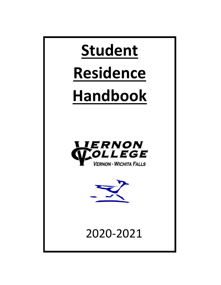

# **Handbook**





2020-2021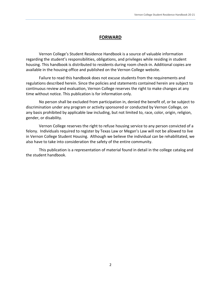## **FORWARD**

Vernon College's Student Residence Handbook is a source of valuable information regarding the student's responsibilities, obligations, and privileges while residing in student housing. This handbook is distributed to residents during room check-in. Additional copies are available in the housing office and published on the Vernon College website.

Failure to read this handbook does not excuse students from the requirements and regulations described herein. Since the policies and statements contained herein are subject to continuous review and evaluation, Vernon College reserves the right to make changes at any time without notice. This publication is for information only.

No person shall be excluded from participation in, denied the benefit of, or be subject to discrimination under any program or activity sponsored or conducted by Vernon College, on any basis prohibited by applicable law including, but not limited to, race, color, origin, religion, gender, or disability.

Vernon College reserves the right to refuse housing service to any person convicted of a felony. Individuals required to register by Texas Law or Megan's Law will not be allowed to live in Vernon College Student Housing. Although we believe the individual can be rehabilitated, we also have to take into consideration the safety of the entire community.

This publication is a representation of material found in detail in the college catalog and the student handbook.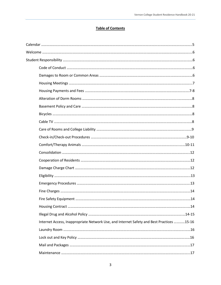## **Table of Contents**

| Internet Access, Inappropriate Network Use, and Internet Safety and Best Practices 15-16 |  |
|------------------------------------------------------------------------------------------|--|
|                                                                                          |  |
|                                                                                          |  |
|                                                                                          |  |
|                                                                                          |  |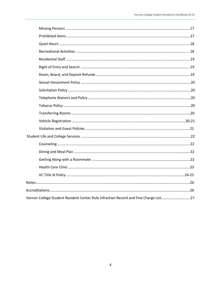| Vernon College Student Resident Center Rule Infraction Record and Fine Charge List27 |  |
|--------------------------------------------------------------------------------------|--|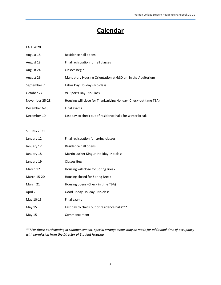# **Calendar**

#### FALL 2020

| August 18      | Residence hall opens                                             |
|----------------|------------------------------------------------------------------|
| August 18      | Final registration for fall classes                              |
| August 24      | Classes begin                                                    |
| August 26      | Mandatory Housing Orientation at 6:30 pm in the Auditorium       |
| September 7    | Labor Day Holiday - No class                                     |
| October 27     | VC Sports Day -No Class                                          |
| November 25-28 | Housing will close for Thanksgiving Holiday (Check-out time TBA) |
| December 6-10  | Final exams                                                      |
| December 10    | Last day to check out of residence halls for winter break        |

#### SPRING 2021

| January 12  | Final registration for spring classes       |
|-------------|---------------------------------------------|
| January 12  | Residence hall opens                        |
| January 18  | Martin Luther King Jr. Holiday- No class    |
| January 19  | Classes Begin                               |
| March 12    | Housing will close for Spring Break         |
| March 15-20 | Housing closed for Spring Break             |
| March 21    | Housing opens (Check in time TBA)           |
| April 2     | Good Friday Holiday - No class              |
| May 10-13   | Final exams                                 |
| May 15      | Last day to check out of residence halls*** |
| May 15      | Commencement                                |

*\*\*\*For those participating in commencement, special arrangements may be made for additional time of occupancy with permission from the Director of Student Housing.*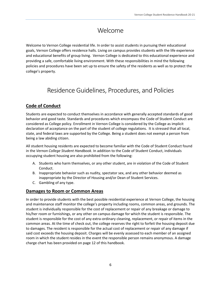# Welcome

Welcome to Vernon College residential life. In order to assist students in pursuing their educational goals, Vernon College offers residence halls. Living on campus provides students with the life experience and educational benefits of group living. Vernon College is dedicated to this educational experience and providing a safe, comfortable living environment. With these responsibilities in mind the following policies and procedures have been set up to ensure the safety of the residents as well as to protect the college's property.

# Residence Guidelines, Procedures, and Policies

## **Code of Conduct**

Students are expected to conduct themselves in accordance with generally accepted standards of good behavior and good taste. Standards and procedures which encompass the Code of Student Conduct are considered as College policy. Enrollment in Vernon College is considered by the College as implicit declaration of acceptance on the part of the student of college regulations. It is stressed that all local, state, and federal laws are supported by the College. Being a student does not exempt a person from being a law abiding citizen.

All student housing residents are expected to become familiar with the Code of Student Conduct found in the *Vernon College Student Handbook*. In addition to the Code of Student Conduct, individuals occupying student housing are also prohibited from the following:

- A. Students who harm themselves, or any other student, are in violation of the Code of Student Conduct.
- B. Inappropriate behavior such as nudity, spectator sex, and any other behavior deemed as inappropriate by the Director of Housing and/or Dean of Student Services.
- C. Gambling of any type.

## **Damages to Room or Common Areas**

In order to provide students with the best possible residential experience at Vernon College, the housing and maintenance staff monitor the college's property including rooms, common areas, and grounds. The student is individually responsible for the cost of replacement or repair of any breakage or damage to his/her room or furnishings, or any other on campus damage for which the student is responsible. The student is responsible for the cost of any extra-ordinary cleaning, replacement, or repair of items in the common areas. At the time of check out, the college reserves the right to forfeit the housing deposit due to damages. The resident is responsible for the actual cost of replacement or repair of any damage if said cost exceeds the housing deposit. Charges will be evenly assessed to each member of an assigned room in which the student resides in the event the responsible person remains anonymous. A damage charge chart has been provided on page 12 of this handbook.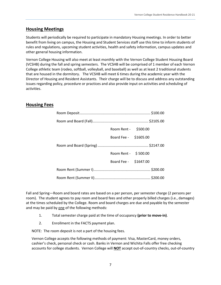## **Housing Meetings**

Students will periodically be required to participate in mandatory Housing meetings. In order to better benefit from living on campus, the Housing and Student Services staff use this time to inform students of rules and regulations, upcoming student activities, health and safety information, campus updates and other general housing information.

Vernon College Housing will also meet at least monthly with the Vernon College Student Housing Board (VCSHB) during the fall and spring semesters. The VCSHB will be comprised of 1 member of each Vernon College athletic team (rodeo, softball, volleyball, and baseball) as well as at least 2 traditional students that are housed in the dormitory. The VCSHB will meet 6 times during the academic year with the Director of Housing and Resident Assistants. Their charge will be to discuss and address any outstanding issues regarding policy, procedure or practices and also provide input on activities and scheduling of activities.

## **Housing Fees**

| Room Rent - \$500.00  |  |
|-----------------------|--|
| Board Fee - \$1605.00 |  |
|                       |  |
| Room Rent - \$500.00  |  |
| Board Fee - \$1647.00 |  |
|                       |  |
|                       |  |

Fall and Spring—Room and board rates are based on a per person, per semester charge (2 persons per room). The student agrees to pay room and board fees and other properly billed charges (i.e., damages) at the times scheduled by the College. Room and board charges are due and payable by the semester and may be paid by one of the following methods:

- 1. Total semester charge paid at the time of occupancy **(prior to move-in)**.
- 2. Enrollment in the FACTS payment plan.

NOTE: The room deposit is not a part of the housing fees.

Vernon College accepts the following methods of payment: Visa, MasterCard, money orders, cashier's check, personal check or cash. Banks in Vernon and Wichita Falls offer free checking accounts for college students. Vernon College will **NOT** accept out-of-country checks, out-of-country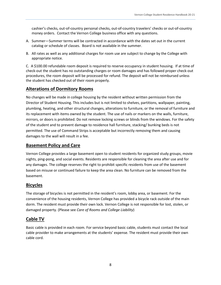cashier's checks, out-of-country personal checks, out-of-country travelers' checks or out-of-country money orders. Contact the Vernon College business office with any questions.

- A. Summer—Summer terms will be contracted in accordance with the dates set out in the current catalog or schedule of classes. Board is not available in the summer.
- B. All rates as well as any additional charges for room use are subject to change by the College with appropriate notice.

C. A \$100.00 refundable room deposit is required to reserve occupancy in student housing. If at time of check-out the student has no outstanding charges or room damages and has followed proper check-out procedures, the room deposit will be processed for refund. The deposit will not be reimbursed unless the student has checked out of their room properly.

## **Alterations of Dormitory Rooms**

No changes will be made in college housing by the resident without written permission from the Director of Student Housing. This includes but is not limited to shelves, partitions, wallpaper, painting, plumbing, heating, and other structural changes, alterations to furniture, or the removal of furniture and its replacement with items owned by the student. The use of nails or markers on the walls, furniture, mirrors, or doors is prohibited. Do not remove locking screws or blinds from the windows. For the safety of the student and to prevent damage to residence hall furniture, stacking/ bunking beds is not permitted. The use of Command Strips is acceptable but incorrectly removing them and causing damages to the wall will result in a fee.

## **Basement Policy and Care**

Vernon College provides a large basement open to student residents for organized study groups, movie nights, ping-pong, and social events. Residents are responsible for cleaning the area after use and for any damages. The college reserves the right to prohibit specific residents from use of the basement based on misuse or continued failure to keep the area clean. No furniture can be removed from the basement.

## **Bicycles**

The storage of bicycles is not permitted in the resident's room, lobby area, or basement. For the convenience of the housing residents, Vernon College has provided a bicycle rack outside of the main dorm. The resident must provide their own lock. Vernon College is not responsible for lost, stolen, or damaged property. (Please see *Care of Rooms and College Liability*)

## **Cable TV**

Basic cable is provided in each room. For service beyond basic cable, students must contact the local cable provider to make arrangements at the students' expense. The resident must provide their own cable cord.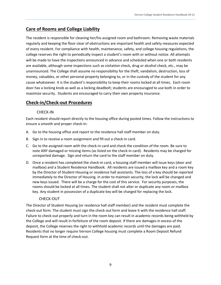## **Care of Rooms and College Liability**

The resident is responsible for cleaning her/his assigned room and bathroom. Removing waste materials regularly and keeping the floor clear of obstructions are important health and safety measures expected of every resident. For compliance with health, maintenance, safety, and college housing regulations, the college reserves the right to periodically inspect a student's room with or without notice. All attempts will be made to have the inspections announced in advance and scheduled when one or both residents are available, although some inspections such as visitation check, drug or alcohol check, etc., may be unannounced. The College shall assume no responsibility for the theft, vandalism, destruction, loss of money, valuables, or other personal property belonging to, or in the custody of the student for any cause whatsoever. It is the student's responsibility to keep their rooms locked at all times. Each room door has a locking knob as well as a locking deadbolt; students are encouraged to use both in order to maximize security. Students are encouraged to carry their own property insurance.

## **Check-in/Check-out Procedures**

#### CHECK-IN

Each resident should report directly to the housing office during posted times. Follow the instructions to ensure a smooth and proper check-in:

- A. Go to the housing office and report to the residence hall staff member on duty.
- B. Sign in to receive a room assignment and fill out a check-in card.
- C. Go to the assigned room with the check-in card and check the condition of the room. Be sure to note ANY damaged or missing items (as listed on the check-in card). Residents may be charged for unreported damage. Sign and return the card to the staff member on duty.
- D. Once a resident has completed the check-in card, a housing staff member will issue keys (door and mailbox) and a Student Residence Handbook. All residents are issued a mailbox key and a room key by the Director of Student Housing or residence hall assistants. The loss of a key should be reported immediately to the Director of Housing. In order to maintain security, the lock will be changed and new keys issued. There will be a charge for the cost of this service. For security purposes, the rooms should be locked at all times. The student shall not alter or duplicate any room or mailbox key. Any student in possession of a duplicate key will be charged for replacing the lock.

#### CHECK-OUT

The Director of Student Housing (or residence hall staff member) and the resident must complete the check-out form. The student must sign the check-out form and leave it with the residence hall staff. Failure to check-out properly and turn in the room key can result in academic records being withheld by the College and will result in forfeiture of the room deposit. If there are damages in excess of the deposit, the College reserves the right to withhold academic records until the damages are paid. Residents that no longer require Vernon College housing must complete a Room Deposit Refund Request form at the time of check-out.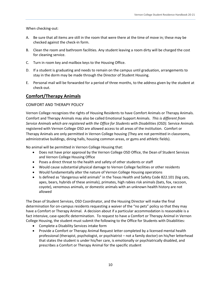When checking-out:

- A. Be sure that all items are still in the room that were there at the time of move in; these may be checked against the check-in form.
- B. Clean the room and bathroom facilities. Any student leaving a room dirty will be charged the cost for cleaning service.
- C. Turn in room key and mailbox keys to the Housing Office.
- D. If a student is graduating and needs to remain on the campus until graduation, arrangements to stay in the dorm may be made through the Director of Student Housing.
- E. Personal mail will be forwarded for a period of three months, to the address given by the student at check-out.

## **Comfort/Therapy Animals**

#### COMFORT AND THERAPY POLICY

Vernon College recognizes the rights of Housing Residents to have Comfort Animals or Therapy Animals. Comfort and Therapy Animals may also be called Emotional Support Animals. *This is different from Service Animals which are registered with the Office for Students with Disabilities (OSD).* Service Animals registered with Vernon College OSD are allowed access to all areas of the institution. Comfort or Therapy Animals are only permitted in Vernon College housing (They are not permitted in classrooms, administrative buildings, dining halls, housing common areas, or gyms and athletic fields).

No animal will be permitted in Vernon College Housing that:

- Does not have prior approval by the Vernon College OSD Office, the Dean of Student Services and Vernon College Housing Office
- Poses a direct threat to the health and safety of other students or staff
- Would cause substantial physical damage to Vernon College facilities or other residents
- Would fundamentally alter the nature of Vernon College Housing operations
- Is defined as "dangerous wild animals" in the Texas Health and Safety Code 822.101 (big cats, apes, bears, hybrids of these animals), primates, high rabies risk animals (bats, fox, raccoon, coyote), venomous animals, or domestic animals with an unknown health history are not allowed

The Dean of Student Services, OSD Coordinator, and the Housing Director will make the final determination for on-campus residents requesting a waiver of the "no pets" policy so that they may have a Comfort or Therapy Animal. A decision about if a particular accommodation is reasonable is a fact intensive, case-specific determination. To request to have a Comfort or Therapy Animal in Vernon College Housing, the student must submit the following to the Office for Students with Disabilities:

- Complete a Disability Services intake form
- Provide a Comfort or Therapy Animal Request letter completed by a licensed mental health professional (therapist, psychologist, or psychiatrist – not a family doctor) on his/her letterhead that states the student is under his/her care, is emotionally or psychiatrically disabled, and prescribes a Comfort or Therapy Animal for the specific student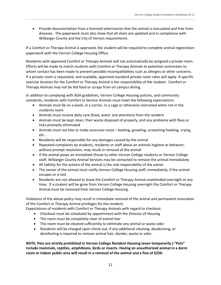Provide documentation from a licensed veterinarian that the animal is inoculated and free from diseases. The paperwork must also show that all shots are updated and in compliance with Wilbarger County and the City of Vernon requirements

If a Comfort or Therapy Animal is approved, the student will be required to complete animal registration paperwork with the Vernon College Housing Office.

Residents with approved Comfort or Therapy Animals will not automatically be assigned a private room. Efforts will be made to match students with Comfort or Therapy Animals to potential roommates to whom contact has been made to prevent possible incompatibilities such as allergies or other concerns. If a private room is requested, and available, approved standard private room rates will apply. A specific exercise location for the Comfort or Therapy Animal is the responsibility of the student. Comfort or Therapy Animals may not be fed food or scraps from on campus dining.

In addition to complying with ADA guidelines, Vernon College Housing policies, and community standards, residents with Comfort or Service Animals must meet the following expectations:

- Animals must be on a leash, in a carrier, in a cage or otherwise restrained when not in the residents room
- Animals must receive daily care (food, water and attention) from the resident
- Animals must be kept clean, their waste disposed of properly, and any problems with fleas or ticks promptly eliminated
- Animals must not bite or make excessive noise barking, growling, screeching howling, crying, etc...
- Residents will be responsible for any damages caused by the animal
- Repeated complaints by students, residents or staff about an animals hygiene or behavior, without prompt resolution, may result in removal of the animal
- If the animal poses an immediate threat to other Vernon College students or Vernon College staff, Wilbarger County Animal Services may be contacted to remove the animal immediately
- All liability for the actions of the animal is the sole responsibility of the owner
- The owner of the animal must notify Vernon College Housing staff, immediately, if the animal escapes or is lost
- Residents are not allowed to leave the Comfort or Therapy Animal unattended overnight at any time. If a student will be gone from Vernon College Housing overnight the Comfort or Therapy Animal must be removed from Vernon College Housing.

Violations of the above policy may result in immediate removal of the animal and permanent revocation of the Comfort or Therapy Animal privileges for the resident.

Expectations of residents with Comfort or Therapy Animals with regard to checkout:

- Checkout must be scheduled by appointment with the Director of Housing
- The room must be completely clear of animal hair
- The room must be cleaned sufficiently to eliminate any animal or waste odor
- Residents will be charged upon check-out, if any additional cleaning, deodorizing, or disinfecting is required to remove animal hair, dander, waste or odor.

**NOTE: Pets are strictly prohibited in Vernon College Resident Housing (even temporarily.) "Pets" include mammals, reptiles, amphibians, birds or insects. Having an unauthorized animal in a dorm room or indoor public area will result in a removal of the animal and a fine of \$250***.*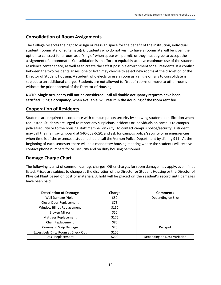## **Consolidation of Room Assignments**

The College reserves the right to assign or reassign space for the benefit of the institution, individual student, roommate, or suitemate(s). Students who do not wish to have a roommate will be given the option to contract for a room as a "single" when space will permit, or they must agree to accept the assignment of a roommate. Consolidation is an effort to equitably achieve maximum use of the student residence center space, as well as to create the safest possible environment for all residents. If a conflict between the two residents arises, one or both may choose to select new rooms at the discretion of the Director of Student Housing. A student who elects to use a room as a single or fails to consolidate is subject to an additional charge. Students are not allowed to "trade" rooms or move to other rooms without the prior approval of the Director of Housing.

**NOTE: Single occupancy will not be considered until all double occupancy requests have been satisfied. Single occupancy, when available, will result in the doubling of the room rent fee.**

## **Cooperation of Residents**

Students are required to cooperate with campus police/security by showing student identification when requested. Students are urged to report any suspicious incidents or individuals on campus to campus police/security or to the housing staff member on duty. To contact campus police/security, a student may call the main switchboard at 940-552-6291 and ask for campus police/security or in emergencies, when time is of the essence, a student should call the Vernon Police Department by dialing 911. At the beginning of each semester there will be a mandatory housing meeting where the students will receive contact phone numbers for VC security and on duty housing personnel.

## **Damage Charge Chart**

The following is a list of common damage charges. Other charges for room damage may apply, even if not listed. Prices are subject to change at the discretion of the Director or Student Housing or the Director of Physical Plant based on cost of materials. A hold will be placed on the resident's record until damages have been paid.

| <b>Description of Damage</b>        | Charge | <b>Comments</b>             |
|-------------------------------------|--------|-----------------------------|
| Wall Damage (Hole)                  | \$50   | Depending on Size           |
| <b>Closet Door Replacement</b>      | \$75   |                             |
| Window Blinds Replacement           | \$150  |                             |
| <b>Broken Mirror</b>                | \$50   |                             |
| <b>Mattress Replacement</b>         | \$175  |                             |
| Chair Replacement                   | \$80   |                             |
| <b>Command Strip Damage</b>         | \$20   | Per spot                    |
| Excessively Dirty Room at Check Out | \$100  |                             |
| Desk Replacement                    | \$200  | Depending on Desk Variation |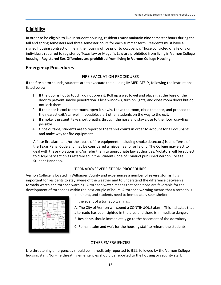## **Eligibility**

In order to be eligible to live in student housing, residents must maintain nine semester hours during the fall and spring semesters and three semester hours for each summer term. Residents must have a signed housing contract on file in the housing office prior to occupancy. Those convicted of a felony or individuals required to register by Texas law or Megan's Law are prohibited from living in Vernon College housing. **Registered Sex Offenders are prohibited from living in Vernon College Housing.**

## **Emergency Procedures**

#### FIRE EVACUATION PROCEDURES

If the fire alarm sounds, students are to evacuate the building IMMEDIATELY, following the instructions listed below.

- 1. If the door is hot to touch, do not open it. Roll up a wet towel and place it at the base of the door to prevent smoke penetration. Close windows, turn on lights, and close room doors but do not lock them.
- 2. If the door is cool to the touch, open it slowly. Leave the room, close the door, and proceed to the nearest exit/stairwell. If possible, alert other students on the way to the exit.
- 3. If smoke is present, take short breaths through the nose and stay close to the floor, crawling if possible.
- 4. Once outside, students are to report to the tennis courts in order to account for all occupants and make way for fire equipment.

A false fire alarm and/or the abuse of fire equipment (including smoke detectors) is an offense of the Texas Penal Code and may be considered a misdemeanor or felony. The College may elect to deal with these violations and/or refer them to appropriate law authorities. Violators will be subject to disciplinary action as referenced in the Student Code of Conduct published Vernon College Student Handbook.

#### TORNADO/SEVERE STORM PROCEDURES

Vernon College is located in Wilbarger County and experiences a number of severe storms. It is important for residents to stay aware of the weather and to understand the difference between a tornado watch and tornado warning. A tornado **watch** means that conditions are favorable for the development of tornadoes within the next couple of hours. A tornado **warning** means that a tornado is imminent, and students need to immediately seek shelter.



In the event of a tornado warning:

- A. The City of Vernon will sound a CONTINUOUS alarm. This indicates that a tornado has been sighted in the area and there is immediate danger.
- B.Residents should immediately go to the basement of the dormitory.
- C. Remain calm and wait for the housing staff to release the students.

#### OTHER EMERGIENCIES

Life threatening emergencies should be immediately reported to 911, followed by the Vernon College housing staff. Non-life threating emergencies should be reported to the housing or security staff.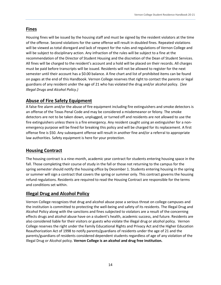## **Fines**

Housing fines will be issued by the housing staff and must be signed by the resident violators at the time of the offense. Second violations for the same offense will result in doubled fines. Repeated violations will be viewed as total disregard and lack of respect for the rules and regulations of Vernon College and will be subject to disciplinary action. Any infraction of the rules will be subject to a fine at the recommendation of the Director of Student Housing and the discretion of the Dean of Student Services. All fines will be charged to the resident's account and a hold will be placed on their records. All charges must be paid before transcripts will be issued. Residents will not be allowed to register for the next semester until their account has a \$0.00 balance. A fine chart and list of prohibited items can be found on pages at the end of this Handbook. Vernon College reserves that right to contact the parents or legal guardians of any resident under the age of 21 who has violated the drug and/or alcohol policy. (*See Illegal Drugs and Alcohol Policy.)*

## **Abuse of Fire Safety Equipment**

A false fire alarm and/or the abuse of fire equipment including fire extinguishers and smoke detectors is an offense of the Texas Penal Code and may be considered a misdemeanor or felony. The smoke detectors are not to be taken down, unplugged, or turned off and residents are not allowed to use the fire extinguishers unless there is a fire emergency. Any resident caught using an extinguisher for a nonemergency purpose will be fined for breaking this policy and will be charged for its replacement. A first offense fine is \$50. Any subsequent offense will result in another fine and/or a referral to appropriate law authorities. Safety equipment is here for your protection.

## **Housing Contract**

The housing contract is a nine-month, academic year contract for students entering housing space in the fall. Those completing their course of study in the fall or those not returning to the campus for the spring semester should notify the housing office by December 1. Students entering housing in the spring or summer will sign a contract that covers the spring or summer only. This contract governs the housing refund regulations. Residents are required to read the Housing Contract are responsible for the terms and conditions set within.

## **Illegal Drug and Alcohol Policy**

Vernon College recognizes that drug and alcohol abuse pose a serious threat on college campuses and the institution is committed to protecting the well-being and safety of its residents. The Illegal Drug and Alcohol Policy along with the sanctions and fines subjected to violators are a result of the concerning effects drugs and alcohol abuse have on a student's health, academic success, and future. Residents are also considered liable for their visitors or guests who violate the illegal drug or alcohol policy. Vernon College reserves the right under the Family Educational Rights and Privacy Act and the Higher Education Reauthorization Act of 1998 to notify parents/guardians of residents under the age of 21 and the parents/guardians of residents considered dependent students regardless of age of any violation of the Illegal Drug or Alcohol policy. **Vernon College is an alcohol and drug free institution.**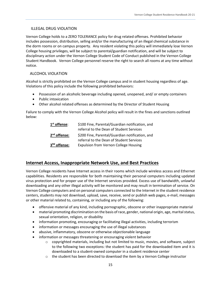#### ILLEGAL DRUG VIOLATION

Vernon College holds to a ZERO TOLERANCE policy for drug related offenses. Prohibited behavior includes possession, distribution, selling and/or the manufacturing of an illegal chemical substance in the dorm rooms or on campus property. Any resident violating this policy will immediately lose Vernon College housing privileges, will be subject to parental/guardian notification, and will be subject to disciplinary action under the Vernon College Student Code of Conduct published in the Vernon College Student Handbook. Vernon College personnel reserve the right to search all rooms at any time without notice.

## ALCOHOL VIOLATION

Alcohol is strictly prohibited on the Vernon College campus and in student housing regardless of age. Violations of this policy include the following prohibited behaviors:

- Possession of an alcoholic beverage including opened, unopened, and/ or empty containers
- Public intoxication
- Other alcohol related offenses as determined by the Director of Student Housing

Failure to comply with the Vernon College Alcohol policy will result in the fines and sanctions outlined below:

| $1st$ offense:           | \$100 Fine, Parental/Guardian notification, and |  |
|--------------------------|-------------------------------------------------|--|
|                          | referral to the Dean of Student Services        |  |
| $2nd$ offense:           | \$200 Fine, Parental/Guardian notification, and |  |
|                          | referral to the Dean of Student Services        |  |
| 3 <sup>Rd</sup> offense: | <b>Expulsion from Vernon College Housing</b>    |  |

## **Internet Access, Inappropriate Network Use, and Best Practices**

Vernon College residents have Internet access in their rooms which include wireless access and Ethernet capabilities. Residents are responsible for both maintaining their personal computers including updated virus protection and for proper use of the Internet services provided. Excess use of bandwidth, unlawful downloading and any other illegal activity will be monitored and may result in termination of service. On Vernon College computers and on personal computers connected to the Internet in the student residence centers, students may not download, upload, save, receive, send or publish web pages, e-mail, messages or other material related to, containing, or including any of the following:

- offensive material of any kind, including pornographic, obscene or other inappropriate material
- material promoting discrimination on the basis of race, gender, national origin, age, marital status, sexual orientation, religion, or disability
- information promoting, encouraging or facilitating illegal activities, including terrorism
- information or messages encouraging the use of illegal substances
- abusive, inflammatory, obscene or otherwise objectionable language
- information or messages threatening or encouraging violent behavior
	- $\circ$  copyrighted materials, including but not limited to music, movies, and software, subject to the following two exceptions: the student has paid for the downloaded item and it is downloaded to a student-owned computer in a student residence center
	- $\circ$  the student has been directed to download the item by a Vernon College instructor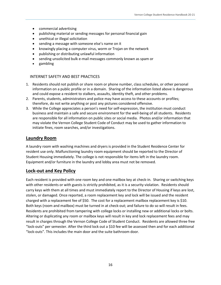- commercial advertising
- publishing material or sending messages for personal financial gain
- unethical or illegal solicitation
- sending a message with someone else's name on it
- knowingly placing a computer virus, worm or Trojan on the network
- publishing or distributing unlawful information
- sending unsolicited bulk e-mail messages commonly known as spam or
- gambling

#### INTERNET SAFETY AND BEST PRACTICES

- 1. Residents should not publish or share room or phone number, class schedules, or other personal information on a public profile or in a domain. Sharing of the information listed above is dangerous and could expose a resident to stalkers, assaults, identity theft, and other problems.
- 2. Parents, students, administrators and police may have access to these accounts or profiles; therefore, do not write anything or post any pictures considered offensive.
- 3. While the College appreciates a person's need for self-expression, the institution must conduct business and maintain a safe and secure environment for the well-being of all students. Residents are responsible for all information on public sites or social media. Photos and/or information that may violate the Vernon College Student Code of Conduct may be used to gather information to initiate fines, room searches, and/or investigations.

## **Laundry Room**

A laundry room with washing machines and dryers is provided in the Student Residence Center for resident use only. Malfunctioning laundry room equipment should be reported to the Director of Student Housing immediately. The college is not responsible for items left in the laundry room. Equipment and/or furniture in the laundry and lobby area must not be removed.

#### **Lock-out and Key Policy**

Each resident is provided with one room key and one mailbox key at check-in. Sharing or switching keys with other residents or with guests is strictly prohibited, as it is a security violation. Residents should carry keys with them at all times and must immediately report to the Director of Housing if keys are lost, stolen, or damaged. Once reported, a room replacement key and lock will be issued and the resident charged with a replacement fee of \$50. The cost for a replacement mailbox replacement key is \$10. Both keys (room and mailbox) must be turned in at check-out; and failure to do so will result in fees. Residents are prohibited from tampering with college locks or installing new or additional locks or bolts. Altering or duplicating any room or mailbox keys will result in key and lock replacement fees and may result in charges through the Vernon College Code of Student Conduct. Residents are allowed three free "lock-outs" per semester. After the third lock out a \$10 fee will be assessed then and for each additional "lock-outs". This includes the main door and the suite bathroom door.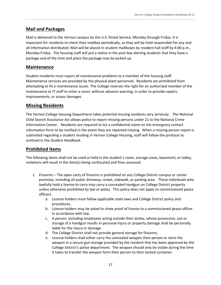## **Mail and Packages**

Mail is delivered to the Vernon campus by the U.S. Postal Service, Monday through Friday. It is important for residents to check their mailbox periodically, as they will be held responsible for any and all information distributed. Mail will be placed in student mailboxes by resident hall staff by 4:00 p.m., Monday-Friday. The housing staff will put a notice in the post box alerting students that they have a package and of the time and place the package may be picked up.

## **Maintenance**

Student residents must report all maintenance problems to a member of the housing staff. Maintenance services are provided by the physical plant personnel. Residents are prohibited from attempting to fix a maintenance issues. The College reserves the right for an authorized member of the maintenance or IT staff to enter a room, without advance warning, in order to provide repairs, improvements, or assess damages.

## **Missing Residents**

The Vernon College Housing Department takes potential missing residents very seriously. The National Child Search Assistance Act allows police to report missing persons under 21 to the National Crime Information Center. Residents are required to list a confidential name on the emergency contact information form to be notified in the event they are reported missing. When a missing person report is submitted regarding a student residing in Vernon College Housing, staff will follow the protocol as outlined in the *Student Handbook*.

## **Prohibited Items**

The following items shall not be used or held in the student's room, storage areas, basement, or lobby; violations will result in the item(s) being confiscated and fines assessed.

- 1. Firearms The open carry of firearms is prohibited on any College District campus or center premises, including all public driveway, street, sidewalk, or parking area. Those individuals who lawfully hold a license to carry may carry a concealed handgun on College District property unless otherwise prohibited by law or policy. This policy does not apply to commissioned peace officers.
	- a. License holders must follow applicable state laws and College District policy and procedures.
	- b. License holders may be asked to show proof of license to a commissioned peace officer in accordance with law.
	- c. A person, including employees acting outside their duties, whose possession, use or storage of a handgun results in personal injury or property damage shall be personally liable for the injury or damage.
	- d. The College District shall not provide general storage for firearms.
	- e. License holders shall either carry the concealed weapon their person or store the weapon in a secure gun storage provided by the resident that has been approved by the College District's police department. The weapon should only be visible during the time it takes to transfer the weapon form their person to their locked container.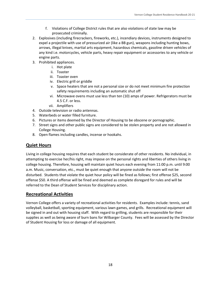- f. Violations of College District rules that are also violations of state law may be prosecuted criminally.
- 2. Explosives (including firecrackers, fireworks, etc.), incendiary devices, instruments designed to expel a projectile with use of pressurized air (like a BB gun), weapons including hunting bows, arrows, illegal knives, martial arts equipment, hazardous chemicals, gasoline driven vehicles of any kind i.e. motorcycles, vehicle parts, heavy repair equipment or accessories to any vehicle or engine parts.
- 3. Prohibited appliances.
	- i. Hot plate
	- ii. Toaster
	- iii. Toaster oven
	- iv. Electric grill or griddle
	- v. Space heaters that are not a personal size or do not meet minimum fire protection safety requirements including an automatic shut off
	- vi. Microwave ovens must use less than ten (10) amps of power. Refrigerators must be 4.5 C.F. or less.
	- vii. Amplifiers
- 4. Outside television or radio antennas.
- 5. Waterbeds or water filled furniture.
- 6. Pictures or items deemed by the Director of Housing to be obscene or pornographic.
- 7. Street signs and other public signs are considered to be stolen property and are not allowed in College Housing.
- 8. Open flames including candles, incense or hookahs.

## **Quiet Hours**

Living in college housing requires that each student be considerate of other residents. No individual, in attempting to exercise her/his right, may impose on the personal rights and liberties of others living in college housing. Therefore, housing will maintain quiet hours each evening from 11:00 p.m. until 9:00 a.m. Music, conversation, etc., must be quiet enough that anyone outside the room will not be disturbed. Students that violate the quiet hour policy will be fined as follows; first offense \$25, second offense \$50. A third offense will be fined and deemed as complete disregard for rules and will be referred to the Dean of Student Services for disciplinary action.

## **Recreational Activities**

Vernon College offers a variety of recreational activities for residents. Examples include: tennis, sand volleyball, basketball, sporting equipment, various lawn games, and grills. Recreational equipment will be signed in and out with housing staff. With regard to grilling, students are responsible for their supplies as well as being aware of burn bans for Wilbarger County. Fees will be assessed by the Director of Student Housing for loss or damage of all equipment.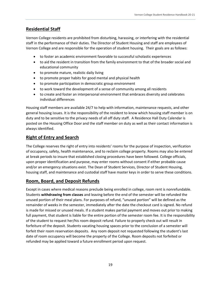## **Residential Staff**

Vernon College residents are prohibited from disturbing, harassing, or interfering with the residential staff in the performance of their duties. The Director of Student Housing and staff are employees of Vernon College and are responsible for the operation of student housing. Their goals are as follows:

- to foster an academic environment favorable to successful scholastic experiences
- to aid the resident in transition from the family environment to that of the broader social and educational community
- to promote mature, realistic daily living
- to promote proper habits for good mental and physical health
- to promote participation in democratic group environment
- to work toward the development of a sense of community among all residents
- to create and foster an interpersonal environment that embraces diversity and celebrates individual differences

Housing staff members are available 24/7 to help with information, maintenance requests, and other general housing issues. It is the responsibility of the resident to know which housing staff member is on duty and to be sensitive to the privacy needs of all off duty staff. A Residence Hall Duty Calendar is posted on the Housing Office Door and the staff member on duty as well as their contact information is always identified.

## **Right of Entry and Search**

The College reserves the right of entry into residents' rooms for the purpose of inspection, verification of occupancy, safety, health maintenance, and to reclaim college property. Rooms may also be entered at break periods to insure that established closing procedures have been followed. College officials, upon proper identification and purpose, may enter rooms without consent if either probable cause and/or an emergency situations exist. The Dean of Student Services, Director of Student Housing, housing staff, and maintenance and custodial staff have master keys in order to serve these conditions.

## **Room, Board, and Deposit Refunds**

Except in cases where medical reasons preclude being enrolled in college, room rent is nonrefundable. Students **withdrawing from classes** and leaving before the end of the semester will be refunded the unused portion of their meal plans. For purposes of refund, "unused portion" will be defined as the remainder of weeks in the semester, immediately after the date the checkout card is signed. No refund is made for missed or unused meals. If a student makes partial payment and moves out prior to making full payment, that student is liable for the entire portion of the semester room fee. It is the responsibility of the student to request her/his room deposit refund. Failure to properly check out will result in forfeiture of the deposit. Students vacating housing spaces prior to the conclusion of a semester will forfeit their room reservation deposits. Any room deposit not requested following the student's last date of room occupancy will become the property of the College. Room deposits not forfeited or refunded may be applied toward a future enrollment period upon request.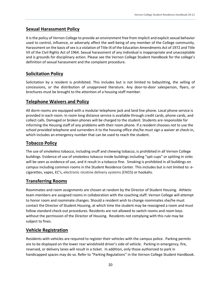## **Sexual Harassment Policy**

It is the policy of Vernon College to provide an environment free from implicit and explicit sexual behavior used to control, influence, or adversely affect the well-being of any member of the College community. Harassment on the basis of sex is a violation of Title IX of the Education Amendments Act of 1972 and Title VII of the Civil Rights Act of 1964. Sexual harassment of any individual is inappropriate and unacceptable and is grounds for disciplinary action. Please see the Vernon College Student Handbook for the college's definition of sexual harassment and the complaint procedure.

## **Solicitation Policy**

Solicitation by a resident is prohibited. This includes but is not limited to babysitting, the selling of concessions, or the distribution of unapproved literature. Any door-to-door salesperson, flyers, or brochures must be brought to the attention of a housing staff member.

## **Telephone Waivers and Policy**

All dorm rooms are equipped with a modular telephone jack and land line phone. Local phone service is provided in each room. In room long distance service is available through credit cards, phone cards, and collect calls. Damaged or broken phones will be charged to the student. Students are responsible for informing the Housing staff of any problems with their room phone. If a resident chooses not to use the school provided telephone and surrenders it to the housing office she/he must sign a waiver at check-in, which includes an emergency number that can be used to reach the student.

## **Tobacco Policy**

The use of smokeless tobacco, including snuff and chewing tobacco, is prohibited in all Vernon College buildings. Evidence of use of smokeless tobacco inside buildings including "spit cups" or spitting in sinks will be seen as evidence of use, and it result in a tobacco fine. Smoking is prohibited in all buildings on campus including common rooms in the Student Residence Center. This includes but is not limited to: ecigarettes, vapes, EC's, electronic nicotine delivery systems (ENDS) or hookahs.

## **Transferring Rooms**

Roommates and room assignments are chosen at random by the Director of Student Housing. Athletic team members are assigned rooms in collaboration with the coaching staff. Vernon College will attempt to honor room and roommate changes. Should a resident wish to change roommates she/he must contact the Director of Student Housing, at which time the student may be reassigned a room and must follow standard check-out procedures. Residents are not allowed to switch rooms and room keys without the permission of the Director of Housing. Residents not complying with this rule may be subject to fines.

## **Vehicle Registration**

Residents with vehicles are required to register their vehicles with the campus police. Parking permits are to be displayed on the lower rear windshield driver's side of vehicle. Parking in emergency, fire, reserved, or delivery lanes will result in a ticket. In addition, only those authorized to park in handicapped spaces may do so. Refer to "Parking Regulations" in the Vernon College Student Handbook.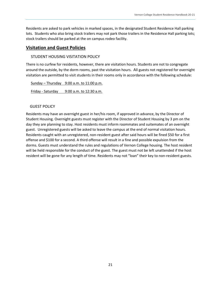Residents are asked to park vehicles in marked spaces, in the designated Student Residence Hall parking lots. Students who also bring stock trailers may not park those trailers in the Residence Hall parking lots; stock trailers should be parked at the on campus rodeo facility.

#### **Visitation and Guest Policies**

#### STUDENT HOUSING VISITATION POLICY

There is no curfew for residents, however, there are visitation hours. Students are not to congregate around the outside, by the dorm rooms, past the visitation hours. All guests not registered for overnight visitation are permitted to visit students in their rooms only in accordance with the following schedule:

Sunday – Thursday  $9:00$  a.m. to 11:00 p.m. Friday - Saturday 9:00 a.m. to 12:30 a.m.

#### GUEST POLICY

Residents may have an overnight guest in her/his room, if approved in advance, by the Director of Student Housing. Overnight guests must register with the Director of Student Housing by 3 pm on the day they are planning to stay. Host residents must inform roommates and suitemates of an overnight guest. Unregistered guests will be asked to leave the campus at the end of normal visitation hours. Residents caught with an unregistered, non-resident guest after said hours will be fined \$50 for a first offense and \$100 for a second. A third offense will result in a fine and possible expulsion from the dorms. Guests must understand the rules and regulations of Vernon College housing. The host resident will be held responsible for the conduct of the guest. The guest must not be left unattended if the host resident will be gone for any length of time. Residents may not "loan" their key to non-resident guests.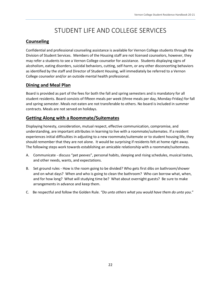# STUDENT LIFE AND COLLEGE SERVICES

## **Counseling**

Confidential and professional counseling assistance is available for Vernon College students through the Division of Student Services. Members of the Housing staff are not licensed counselors, however, they may refer a students to see a Vernon College counselor for assistance. Students displaying signs of alcoholism, eating disorders, suicidal behaviors, cutting, self-harm, or any other disconcerting behaviors as identified by the staff and Director of Student Housing, will immediately be referred to a Vernon College counselor and/or an outside mental health professional.

## **Dining and Meal Plan**

Board is provided as part of the fees for both the fall and spring semesters and is mandatory for all student residents. Board consists of fifteen meals per week (three meals per day, Monday-Friday) for fall and spring semester. Meals not eaten are not transferable to others. No board is included in summer contracts. Meals are not served on holidays.

## **Getting Along with a Roommate/Suitemates**

Displaying honesty, consideration, mutual respect, effective communication, compromise, and understanding, are important attributes in learning to live with a roommate/suitemates. If a resident experiences initial difficulties in adjusting to a new roommate/suitemate or to student housing life, they should remember that they are not alone.It would be surprising if residents felt at home right away. The following steps work towards establishing an amicable relationship with a roommate/suitemates.

- A. Communicate discuss "pet peeves", personal habits, sleeping and rising schedules, musical tastes, and other needs, wants, and expectations.
- B. Set ground rules How is the room going to be divided? Who gets first dibs on bathroom/shower and on what days? When and who is going to clean the bathroom? Who can borrow what, when, and for how long? What will studying time be? What about overnight guests? Be sure to make arrangements in advance and keep them.
- C. Be respectful and follow the Golden Rule. *"Do unto others what you would have them do unto you*."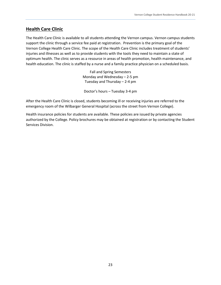## **Health Care Clinic**

The Health Care Clinic is available to all students attending the Vernon campus. Vernon campus students support the clinic through a service fee paid at registration. Prevention is the primary goal of the Vernon College Health Care Clinic. The scope of the Health Care Clinic includes treatment of students' injuries and illnesses as well as to provide students with the tools they need to maintain a state of optimum health. The clinic serves as a resource in areas of health promotion, health maintenance, and health education. The clinic is staffed by a nurse and a family practice physician on a scheduled basis.

> Fall and Spring Semesters Monday and Wednesday – 2-5 pm Tuesday and Thursday – 2-4 pm

Doctor's hours – Tuesday 3-4 pm

After the Health Care Clinic is closed, students becoming ill or receiving injuries are referred to the emergency room of the Wilbarger General Hospital (across the street from Vernon College).

Health insurance policies for students are available. These policies are issued by private agencies authorized by the College. Policy brochures may be obtained at registration or by contacting the Student Services Division.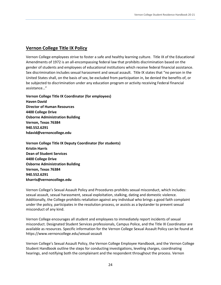## **Vernon College Title IX Policy**

Vernon College employees strive to foster a safe and healthy learning culture. Title IX of the Educational Amendments of 1972 is an all-encompassing federal law that prohibits discrimination based on the gender of students and employees of educational institutions which receive federal financial assistance. Sex discrimination includes sexual harassment and sexual assault. Title IX states that "no person in the United States shall, on the basis of sex, be excluded from participation in, be denied the benefits of, or be subjected to discrimination under any education program or activity receiving Federal financial assistance…"

**Vernon College Title IX Coordinator (for employees) Haven David Director of Human Resources 4400 College Drive Osborne Administration Building Vernon, Texas 76384 940.552.6291 hdavid@vernoncollege.edu**

**Vernon College Title IX Deputy Coordinator (for students) Kristin Harris Dean of Student Services 4400 College Drive Osborne Administration Building Vernon, Texas 76384 940.552.6291 kharris@vernoncollege.edu**

Vernon College's Sexual Assault Policy and Procedures prohibits sexual misconduct, which includes: sexual assault, sexual harassment, sexual exploitation, stalking, dating and domestic violence. Additionally, the College prohibits retaliation against any individual who brings a good faith complaint under the policy, participates in the resolution process, or assists as a bystander to prevent sexual misconduct of any kind.

Vernon College encourages all student and employees to immediately report incidents of sexual misconduct. Designated Student Services professionals, Campus Police, and the Title IX Coordinator are available as resources. Specific information for the Vernon College Sexual Assault Policy can be found at https://www.vernoncollege.edu/sexual-assault

Vernon College's Sexual Assault Policy, the Vernon College Employee Handbook, and the Vernon College Student Handbook outline the steps for conducting investigations, leveling charges, coordinating hearings, and notifying both the complainant and the respondent throughout the process. Vernon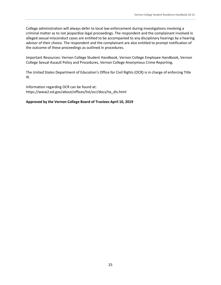College administration will always defer to local law enforcement during investigations involving a criminal matter as to not jeopardize legal proceedings. The respondent and the complainant involved in alleged sexual misconduct cases are entitled to be accompanied to any disciplinary hearings by a hearing advisor of their choice. The respondent and the complainant are also entitled to prompt notification of the outcome of these proceedings as outlined in procedures.

Important Resources: Vernon College Student Handbook, Vernon College Employee Handbook, Vernon College Sexual Assault Policy and Procedures, Vernon College Anonymous Crime Reporting.

The United States Department of Education's Office for Civil Rights (OCR) is in charge of enforcing Title IX.

Information regarding OCR can be found at: https://www2.ed.gov/about/offices/list/ocr/docs/tix\_dis.html

#### **Approved by the Vernon College Board of Trustees April 10, 2019**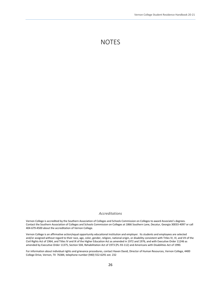## **NOTES**

#### *Accreditations*

Vernon College is accredited by the Southern Association of Colleges and Schools Commission on Colleges to award Associate's degrees. Contact the Southern Association of Colleges and Schools Commission on Colleges at 1866 Southern Lane, Decatur, Georgia 30033-4097 or call 404-679-4500 about the accreditation of Vernon College.

Vernon College is an affirmative action/equal opportunity educational institution and employer. Its students and employees are selected and/or assigned without regard to their race, age, color, gender, religion, national origin, or disability consistent with Titles IV, VI, and VII of the Civil Rights Act of 1964, and Titles IV and IX of the Higher Education Act as amended in 1972 and 1976, and with Executive Order 11246 as amended by Executive Order 11375, Section 504, Rehabilitation Act of 1973 (PL-93-112) and Americans with Disabilities Act of 1990.

For information about individual rights and grievance procedures, contact Haven David, Director of Human Resources, Vernon College, 4400 College Drive, Vernon, TX 76384, telephone number (940) 552-6291 ext. 232